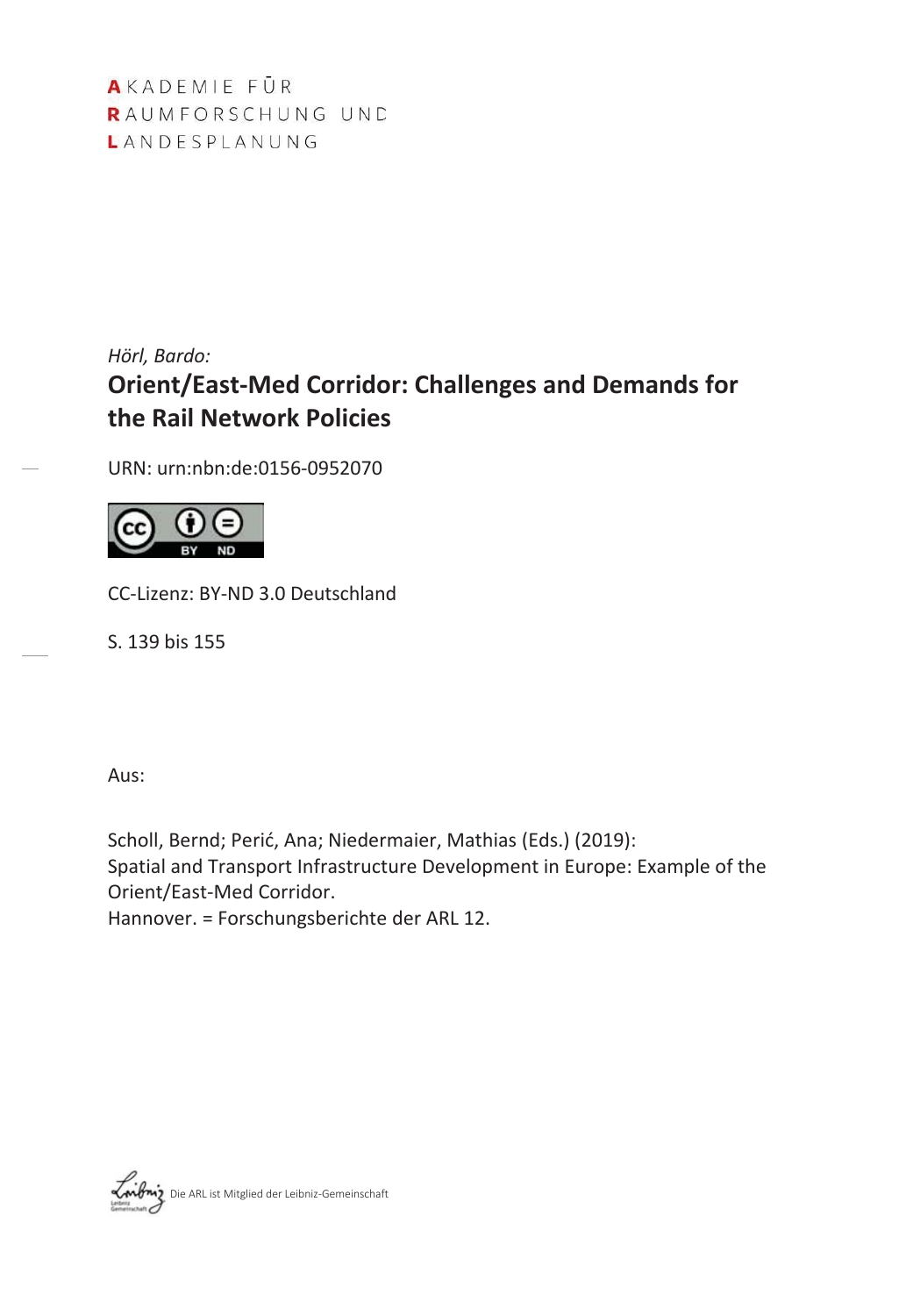AKADEMIE FÜR RAUMFORSCHUNG UND LANDESPLANUNG

# *Hörl, Bardo:* **Orient/East-Med Corridor: Challenges and Demands for the Rail Network Policies**

URN: urn:nbn:de:0156-0952070



CC-Lizenz: BY-ND 3.0 Deutschland

S. 139 bis 155

Aus:

Scholl, Bernd; Perić, Ana; Niedermaier, Mathias (Eds.) (2019): Spatial and Transport Infrastructure Development in Europe: Example of the Orient/East-Med Corridor.

Hannover. = Forschungsberichte der ARL 12.

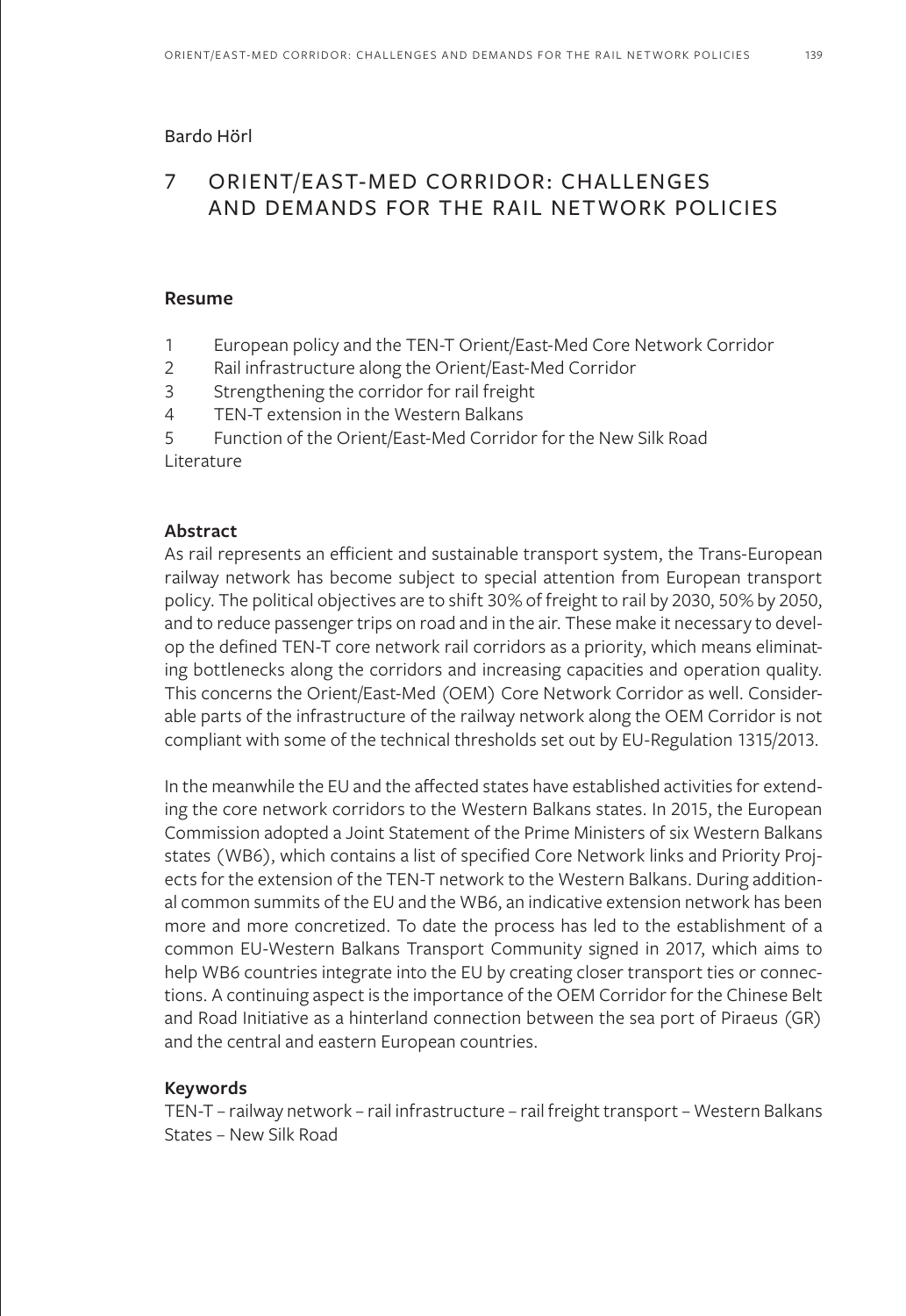#### Bardo Hörl

## 7 ORIENT/EAST-MED CORRIDOR: CHALLENGES AND DEMANDS FOR THE RAIL NETWORK POLICIES

#### **Resume**

- 1 European policy and the TEN-T Orient/East-Med Core Network Corridor
- 2 Rail infrastructure along the Orient/East-Med Corridor
- 3 Strengthening the corridor for rail freight
- 4 TEN-T extension in the Western Balkans
- 5 Function of the Orient/East-Med Corridor for the New Silk Road

Literature

#### **Abstract**

As rail represents an efficient and sustainable transport system, the Trans-European railway network has become subject to special attention from European transport policy. The political objectives are to shift 30% of freight to rail by 2030, 50% by 2050, and to reduce passenger trips on road and in the air. These make it necessary to develop the defined TEN-T core network rail corridors as a priority, which means eliminating bottlenecks along the corridors and increasing capacities and operation quality. This concerns the Orient/East-Med (OEM) Core Network Corridor as well. Considerable parts of the infrastructure of the railway network along the OEM Corridor is not compliant with some of the technical thresholds set out by EU-Regulation 1315/2013.

In the meanwhile the EU and the affected states have established activities for extending the core network corridors to the Western Balkans states. In 2015, the European Commission adopted a Joint Statement of the Prime Ministers of six Western Balkans states (WB6), which contains a list of specified Core Network links and Priority Projects for the extension of the TEN-T network to the Western Balkans. During additional common summits of the EU and the WB6, an indicative extension network has been more and more concretized. To date the process has led to the establishment of a common EU-Western Balkans Transport Community signed in 2017, which aims to help WB6 countries integrate into the EU by creating closer transport ties or connections. A continuing aspect is the importance of the OEM Corridor for the Chinese Belt and Road Initiative as a hinterland connection between the sea port of Piraeus (GR) and the central and eastern European countries.

#### **Keywords**

TEN-T – railway network – rail infrastructure – rail freight transport – Western Balkans States – New Silk Road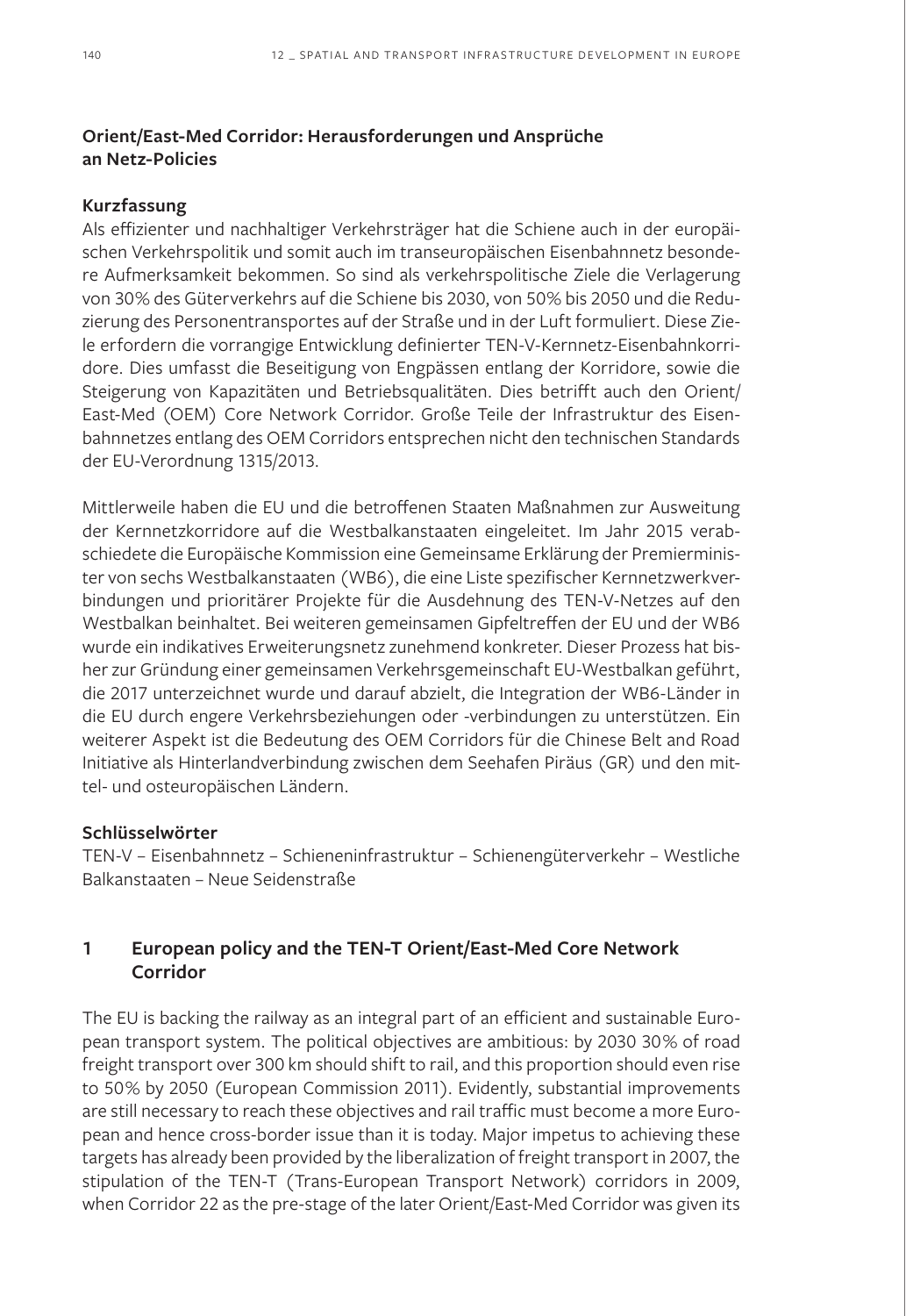## **Orient/East-Med Corridor: Herausforderungen und Ansprüche an Netz-Policies**

#### **Kurzfassung**

Als effizienter und nachhaltiger Verkehrsträger hat die Schiene auch in der europäischen Verkehrspolitik und somit auch im transeuropäischen Eisenbahnnetz besondere Aufmerksamkeit bekommen. So sind als verkehrspolitische Ziele die Verlagerung von 30% des Güterverkehrs auf die Schiene bis 2030, von 50% bis 2050 und die Reduzierung des Personentransportes auf der Straße und in der Luft formuliert. Diese Ziele erfordern die vorrangige Entwicklung definierter TEN-V-Kernnetz-Eisenbahnkorridore. Dies umfasst die Beseitigung von Engpässen entlang der Korridore, sowie die Steigerung von Kapazitäten und Betriebsqualitäten. Dies betrifft auch den Orient/ East-Med (OEM) Core Network Corridor. Große Teile der Infrastruktur des Eisenbahnnetzes entlang des OEM Corridors entsprechen nicht den technischen Standards der EU-Verordnung 1315/2013.

Mittlerweile haben die EU und die betroffenen Staaten Maßnahmen zur Ausweitung der Kernnetzkorridore auf die Westbalkanstaaten eingeleitet. Im Jahr 2015 verabschiedete die Europäische Kommission eine Gemeinsame Erklärung der Premierminister von sechs Westbalkanstaaten (WB6), die eine Liste spezifischer Kernnetzwerkverbindungen und prioritärer Projekte für die Ausdehnung des TEN-V-Netzes auf den Westbalkan beinhaltet. Bei weiteren gemeinsamen Gipfeltreffen der EU und der WB6 wurde ein indikatives Erweiterungsnetz zunehmend konkreter. Dieser Prozess hat bisher zur Gründung einer gemeinsamen Verkehrsgemeinschaft EU-Westbalkan geführt, die 2017 unterzeichnet wurde und darauf abzielt, die Integration der WB6-Länder in die EU durch engere Verkehrsbeziehungen oder -verbindungen zu unterstützen. Ein weiterer Aspekt ist die Bedeutung des OEM Corridors für die Chinese Belt and Road Initiative als Hinterlandverbindung zwischen dem Seehafen Piräus (GR) und den mittel- und osteuropäischen Ländern.

#### **Schlüsselwörter**

TEN-V – Eisenbahnnetz – Schieneninfrastruktur – Schienengüterverkehr – Westliche Balkanstaaten – Neue Seidenstraße

## **1 European policy and the TEN-T Orient/East-Med Core Network Corridor**

The EU is backing the railway as an integral part of an efficient and sustainable European transport system. The political objectives are ambitious: by 2030 30% of road freight transport over 300 km should shift to rail, and this proportion should even rise to 50% by 2050 (European Commission 2011). Evidently, substantial improvements are still necessary to reach these objectives and rail traffic must become a more European and hence cross-border issue than it is today. Major impetus to achieving these targets has already been provided by the liberalization of freight transport in 2007, the stipulation of the TEN-T (Trans-European Transport Network) corridors in 2009, when Corridor 22 as the pre-stage of the later Orient/East-Med Corridor was given its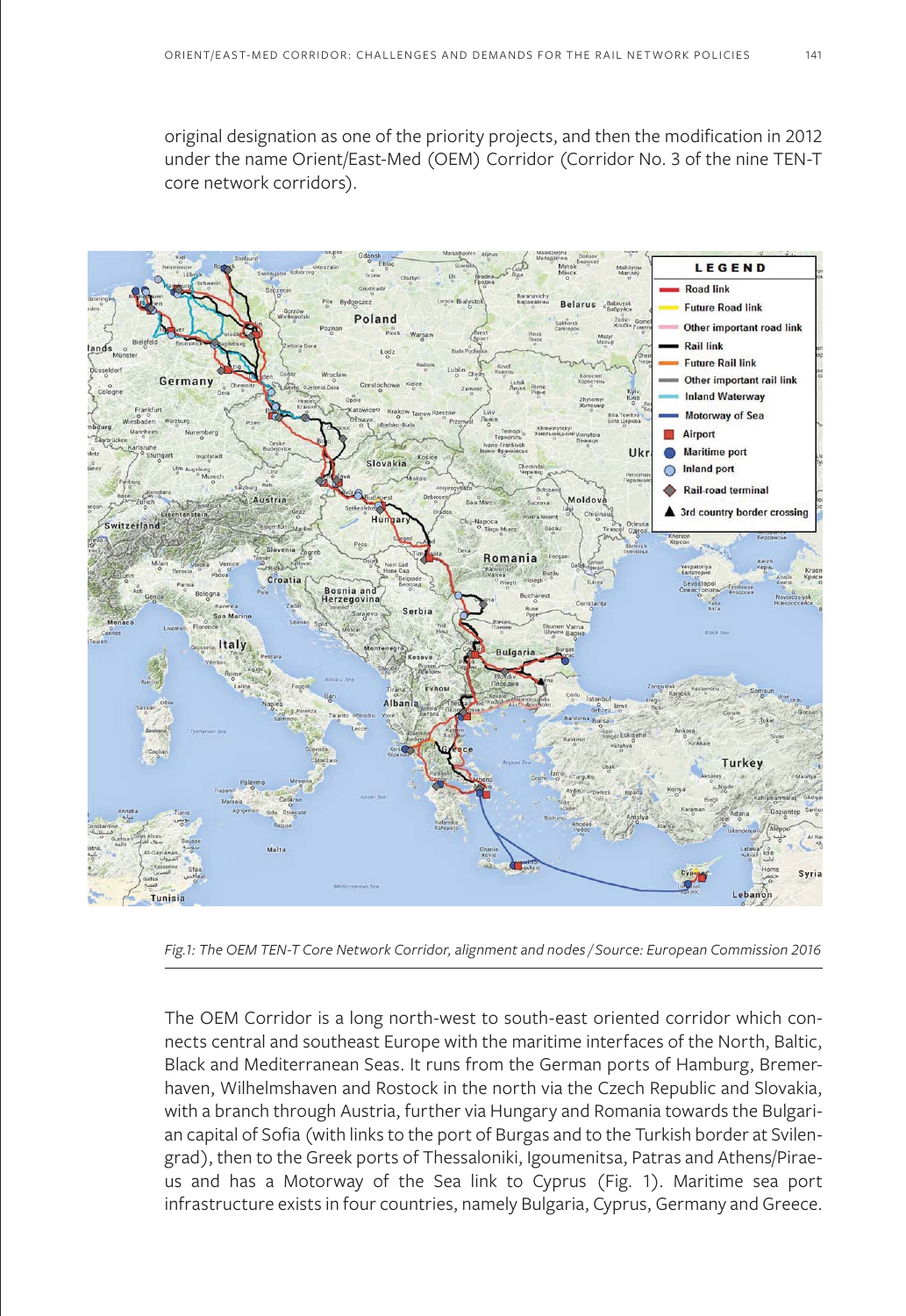original designation as one of the priority projects, and then the modification in 2012 under the name Orient/East-Med (OEM) Corridor (Corridor No. 3 of the nine TEN-T core network corridors).



*Fig.1: The OEM TEN-T Core Network Corridor, alignment and nodes / Source: European Commission 2016*

The OEM Corridor is a long north-west to south-east oriented corridor which connects central and southeast Europe with the maritime interfaces of the North, Baltic, Black and Mediterranean Seas. It runs from the German ports of Hamburg, Bremerhaven, Wilhelmshaven and Rostock in the north via the Czech Republic and Slovakia, with a branch through Austria, further via Hungary and Romania towards the Bulgarian capital of Sofia (with links to the port of Burgas and to the Turkish border at Svilengrad), then to the Greek ports of Thessaloniki, Igoumenitsa, Patras and Athens/Piraeus and has a Motorway of the Sea link to Cyprus (Fig. 1). Maritime sea port infrastructure exists in four countries, namely Bulgaria, Cyprus, Germany and Greece.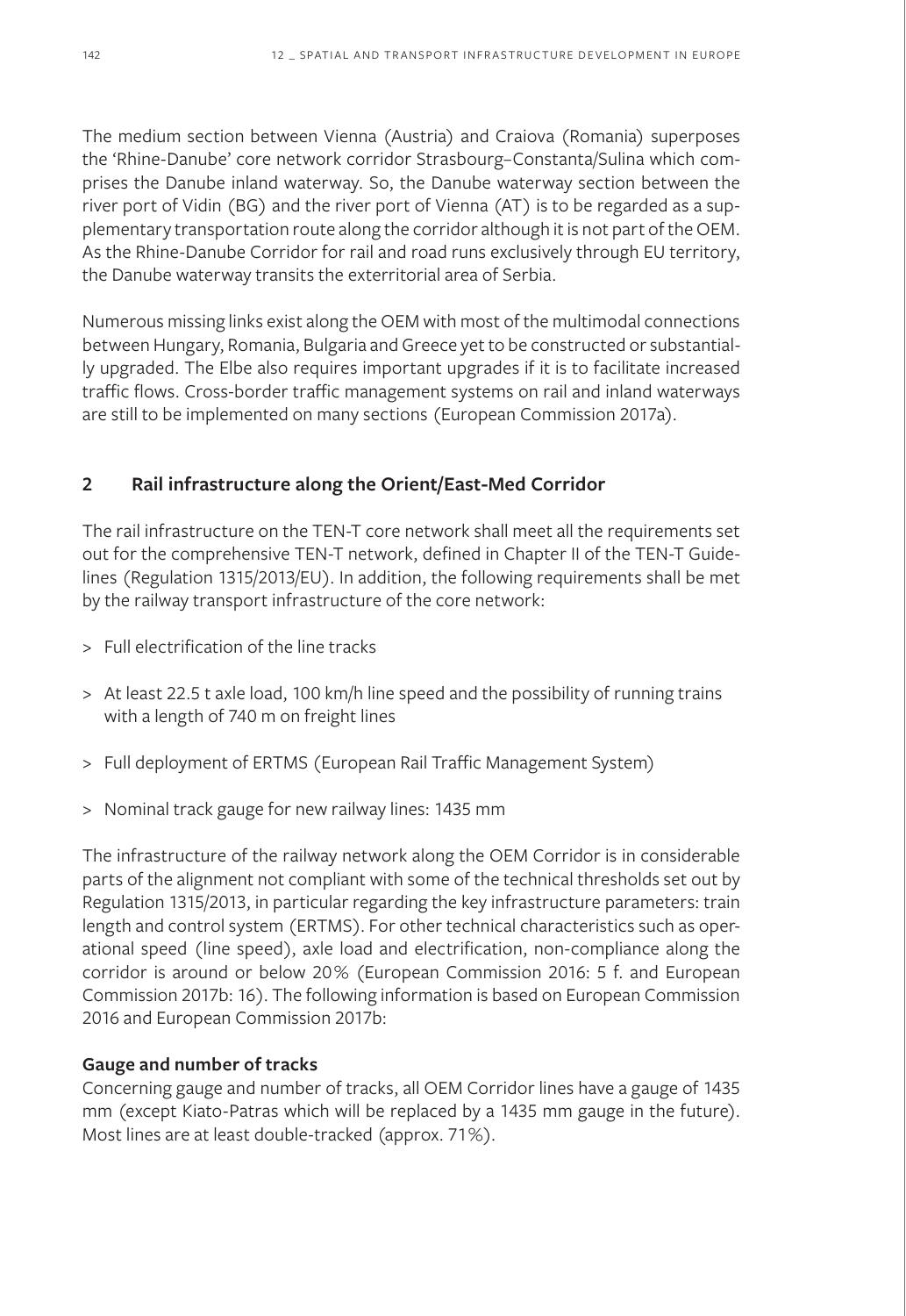The medium section between Vienna (Austria) and Craiova (Romania) superposes the 'Rhine-Danube' core network corridor Strasbourg–Constanta/Sulina which comprises the Danube inland waterway. So, the Danube waterway section between the river port of Vidin (BG) and the river port of Vienna (AT) is to be regarded as a supplementary transportation route along the corridor although it is not part of the OEM. As the Rhine-Danube Corridor for rail and road runs exclusively through EU territory, the Danube waterway transits the exterritorial area of Serbia.

Numerous missing links exist along the OEM with most of the multimodal connections between Hungary, Romania, Bulgaria and Greece yet to be constructed or substantially upgraded. The Elbe also requires important upgrades if it is to facilitate increased traffic flows. Cross-border traffic management systems on rail and inland waterways are still to be implemented on many sections (European Commission 2017a).

## **2 Rail infrastructure along the Orient/East-Med Corridor**

The rail infrastructure on the TEN-T core network shall meet all the requirements set out for the comprehensive TEN-T network, defined in Chapter II of the TEN-T Guidelines (Regulation 1315/2013/EU). In addition, the following requirements shall be met by the railway transport infrastructure of the core network:

- > Full electrification of the line tracks
- > At least 22.5 t axle load, 100 km/h line speed and the possibility of running trains with a length of 740 m on freight lines
- > Full deployment of ERTMS (European Rail Traffic Management System)
- > Nominal track gauge for new railway lines: 1435 mm

The infrastructure of the railway network along the OEM Corridor is in considerable parts of the alignment not compliant with some of the technical thresholds set out by Regulation 1315/2013, in particular regarding the key infrastructure parameters: train length and control system (ERTMS). For other technical characteristics such as operational speed (line speed), axle load and electrification, non-compliance along the corridor is around or below 20% (European Commission 2016: 5 f. and European Commission 2017b: 16). The following information is based on European Commission 2016 and European Commission 2017b:

## **Gauge and number of tracks**

Concerning gauge and number of tracks, all OEM Corridor lines have a gauge of 1435 mm (except Kiato-Patras which will be replaced by a 1435 mm gauge in the future). Most lines are at least double-tracked (approx. 71%).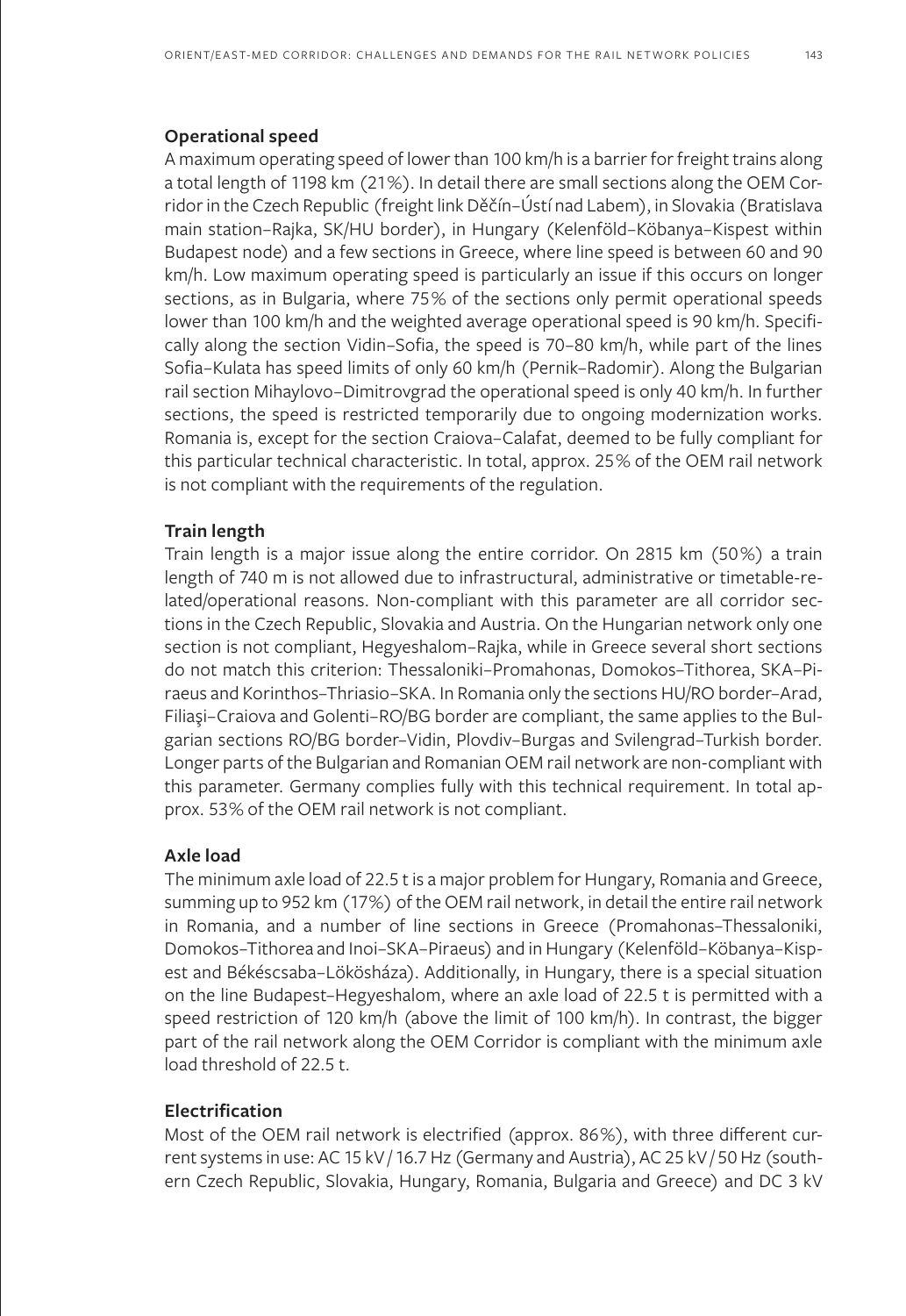A maximum operating speed of lower than 100 km/h is a barrier for freight trains along a total length of 1198 km (21%). In detail there are small sections along the OEM Corridor in the Czech Republic (freight link Děčín–Ústí nad Labem), in Slovakia (Bratislava main station–Rajka, SK/HU border), in Hungary (Kelenföld–Köbanya–Kispest within Budapest node) and a few sections in Greece, where line speed is between 60 and 90 km/h. Low maximum operating speed is particularly an issue if this occurs on longer sections, as in Bulgaria, where 75% of the sections only permit operational speeds lower than 100 km/h and the weighted average operational speed is 90 km/h. Specifically along the section Vidin–Sofia, the speed is 70–80 km/h, while part of the lines Sofia–Kulata has speed limits of only 60 km/h (Pernik–Radomir). Along the Bulgarian rail section Mihaylovo–Dimitrovgrad the operational speed is only 40 km/h. In further sections, the speed is restricted temporarily due to ongoing modernization works. Romania is, except for the section Craiova–Calafat, deemed to be fully compliant for this particular technical characteristic. In total, approx. 25% of the OEM rail network is not compliant with the requirements of the regulation.

#### **Train length**

Train length is a major issue along the entire corridor. On 2815 km (50%) a train length of 740 m is not allowed due to infrastructural, administrative or timetable-related/operational reasons. Non-compliant with this parameter are all corridor sections in the Czech Republic, Slovakia and Austria. On the Hungarian network only one section is not compliant, Hegyeshalom–Rajka, while in Greece several short sections do not match this criterion: Thessaloniki–Promahonas, Domokos–Tithorea, SKA–Piraeus and Korinthos–Thriasio–SKA. In Romania only the sections HU/RO border–Arad, Filiaşi–Craiova and Golenti–RO/BG border are compliant, the same applies to the Bulgarian sections RO/BG border–Vidin, Plovdiv–Burgas and Svilengrad–Turkish border. Longer parts of the Bulgarian and Romanian OEM rail network are non-compliant with this parameter. Germany complies fully with this technical requirement. In total approx. 53% of the OEM rail network is not compliant.

#### **Axle load**

The minimum axle load of 22.5 t is a major problem for Hungary, Romania and Greece, summing up to 952 km (17%) of the OEM rail network, in detail the entire rail network in Romania, and a number of line sections in Greece (Promahonas–Thessaloniki, Domokos–Tithorea and Inoi–SKA–Piraeus) and in Hungary (Kelenföld–Köbanya–Kispest and Békéscsaba–Lökösháza). Additionally, in Hungary, there is a special situation on the line Budapest–Hegyeshalom, where an axle load of 22.5 t is permitted with a speed restriction of 120 km/h (above the limit of 100 km/h). In contrast, the bigger part of the rail network along the OEM Corridor is compliant with the minimum axle load threshold of 22.5 t.

## **Electrification**

Most of the OEM rail network is electrified (approx. 86%), with three different current systems in use: AC 15 kV / 16.7 Hz (Germany and Austria), AC 25 kV / 50 Hz (southern Czech Republic, Slovakia, Hungary, Romania, Bulgaria and Greece) and DC 3 kV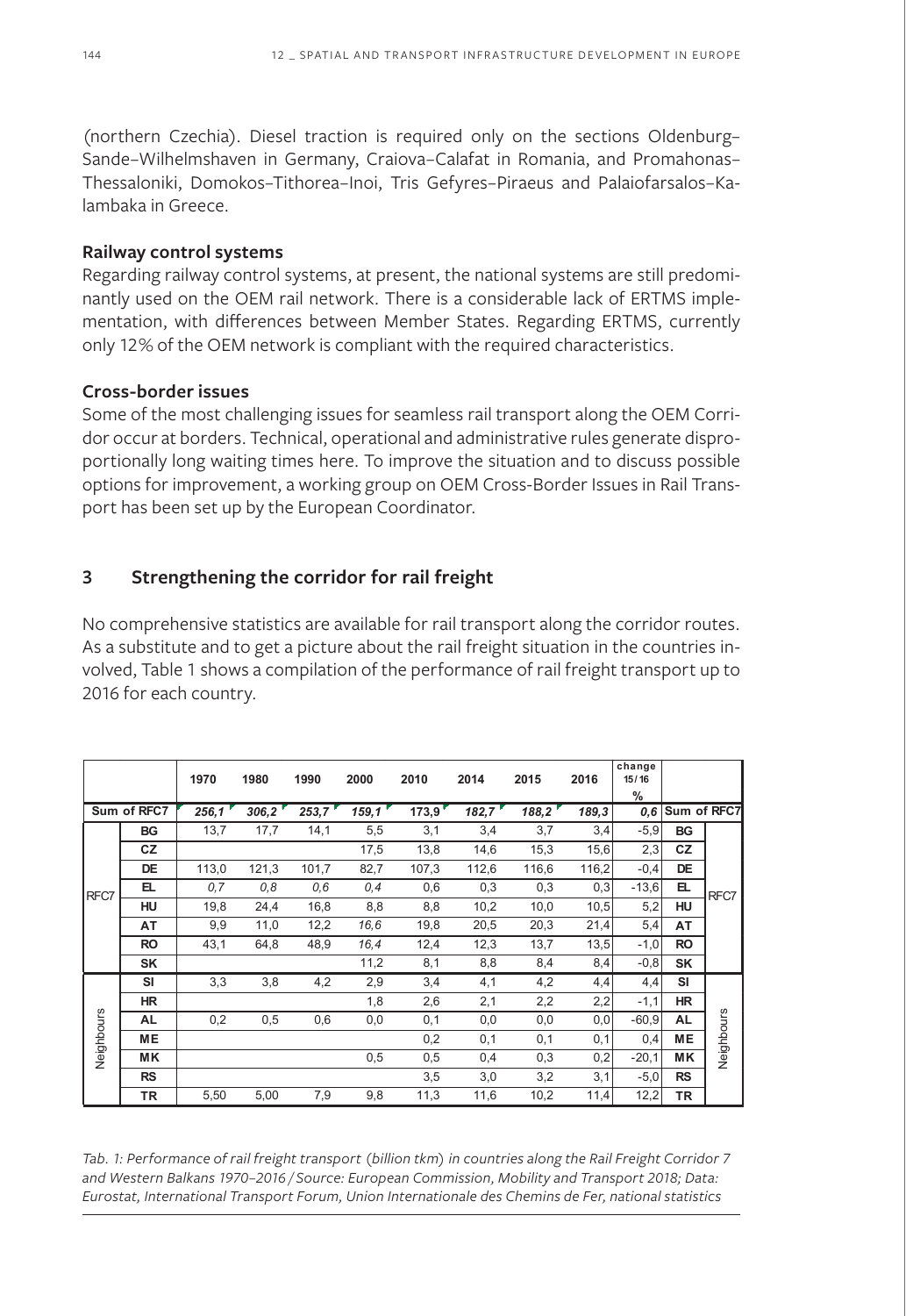(northern Czechia). Diesel traction is required only on the sections Oldenburg– Sande–Wilhelmshaven in Germany, Craiova–Calafat in Romania, and Promahonas– Thessaloniki, Domokos–Tithorea–Inoi, Tris Gefyres–Piraeus and Palaiofarsalos–Kalambaka in Greece.

#### **Railway control systems**

Regarding railway control systems, at present, the national systems are still predominantly used on the OEM rail network. There is a considerable lack of ERTMS implementation, with differences between Member States. Regarding ERTMS, currently only 12% of the OEM network is compliant with the required characteristics.

## **Cross-border issues**

Some of the most challenging issues for seamless rail transport along the OEM Corridor occur at borders. Technical, operational and administrative rules generate disproportionally long waiting times here. To improve the situation and to discuss possible options for improvement, a working group on OEM Cross-Border Issues in Rail Transport has been set up by the European Coordinator.

## **3 Strengthening the corridor for rail freight**

No comprehensive statistics are available for rail transport along the corridor routes. As a substitute and to get a picture about the rail freight situation in the countries involved, Table 1 shows a compilation of the performance of rail freight transport up to 2016 for each country.

|             |           | 1970  | 1980  | 1990  | 2000  | 2010  | 2014  | 2015  | 2016  | change<br>15/16<br>% |             |            |
|-------------|-----------|-------|-------|-------|-------|-------|-------|-------|-------|----------------------|-------------|------------|
| Sum of RFC7 |           | 256,1 | 306,2 | 253,7 | 159,1 | 173.9 | 182,7 | 188,2 | 189,3 | 0,6                  | Sum of RFC7 |            |
| RFC7        | BG        | 13,7  | 17,7  | 14,1  | 5,5   | 3,1   | 3,4   | 3,7   | 3,4   | $-5,9$               | <b>BG</b>   | RFC7       |
|             | CZ        |       |       |       | 17,5  | 13,8  | 14,6  | 15,3  | 15,6  | 2,3                  | CZ          |            |
|             | DE        | 113,0 | 121,3 | 101,7 | 82,7  | 107,3 | 112,6 | 116,6 | 116,2 | $-0,4$               | DE          |            |
|             | ᄄ         | 0.7   | 0,8   | 0,6   | 0,4   | 0,6   | 0,3   | 0,3   | 0,3   | $-13,6$              | EL.         |            |
|             | HU        | 19,8  | 24,4  | 16,8  | 8,8   | 8,8   | 10,2  | 10,0  | 10,5  | 5,2                  | HU          |            |
|             | AT        | 9,9   | 11,0  | 12,2  | 16,6  | 19,8  | 20,5  | 20,3  | 21,4  | 5,4                  | AT          |            |
|             | <b>RO</b> | 43,1  | 64,8  | 48,9  | 16,4  | 12,4  | 12,3  | 13,7  | 13,5  | $-1,0$               | <b>RO</b>   |            |
|             | SK        |       |       |       | 11,2  | 8,1   | 8,8   | 8,4   | 8,4   | $-0,8$               | <b>SK</b>   |            |
| Neighbours  | SI        | 3,3   | 3,8   | 4,2   | 2,9   | 3,4   | 4,1   | 4,2   | 4,4   | 4,4                  | SI          | Neighbours |
|             | <b>HR</b> |       |       |       | 1,8   | 2,6   | 2,1   | 2,2   | 2,2   | $-1,1$               | <b>HR</b>   |            |
|             | AL        | 0,2   | 0,5   | 0,6   | 0,0   | 0,1   | 0,0   | 0,0   | 0,0   | $-60,9$              | <b>AL</b>   |            |
|             | <b>ME</b> |       |       |       |       | 0,2   | 0,1   | 0,1   | 0,1   | 0,4                  | <b>ME</b>   |            |
|             | <b>MK</b> |       |       |       | 0,5   | 0,5   | 0,4   | 0,3   | 0,2   | $-20,1$              | <b>MK</b>   |            |
|             | <b>RS</b> |       |       |       |       | 3,5   | 3,0   | 3,2   | 3,1   | $-5,0$               | <b>RS</b>   |            |
|             | ΤR        | 5,50  | 5,00  | 7,9   | 9,8   | 11,3  | 11,6  | 10,2  | 11,4  | 12,2                 | TR          |            |

*Tab. 1: Performance of rail freight transport (billion tkm) in countries along the Rail Freight Corridor 7 and Western Balkans 1970–2016 / Source: European Commission, Mobility and Transport 2018; Data: Eurostat, International Transport Forum, Union Internationale des Chemins de Fer, national statistics*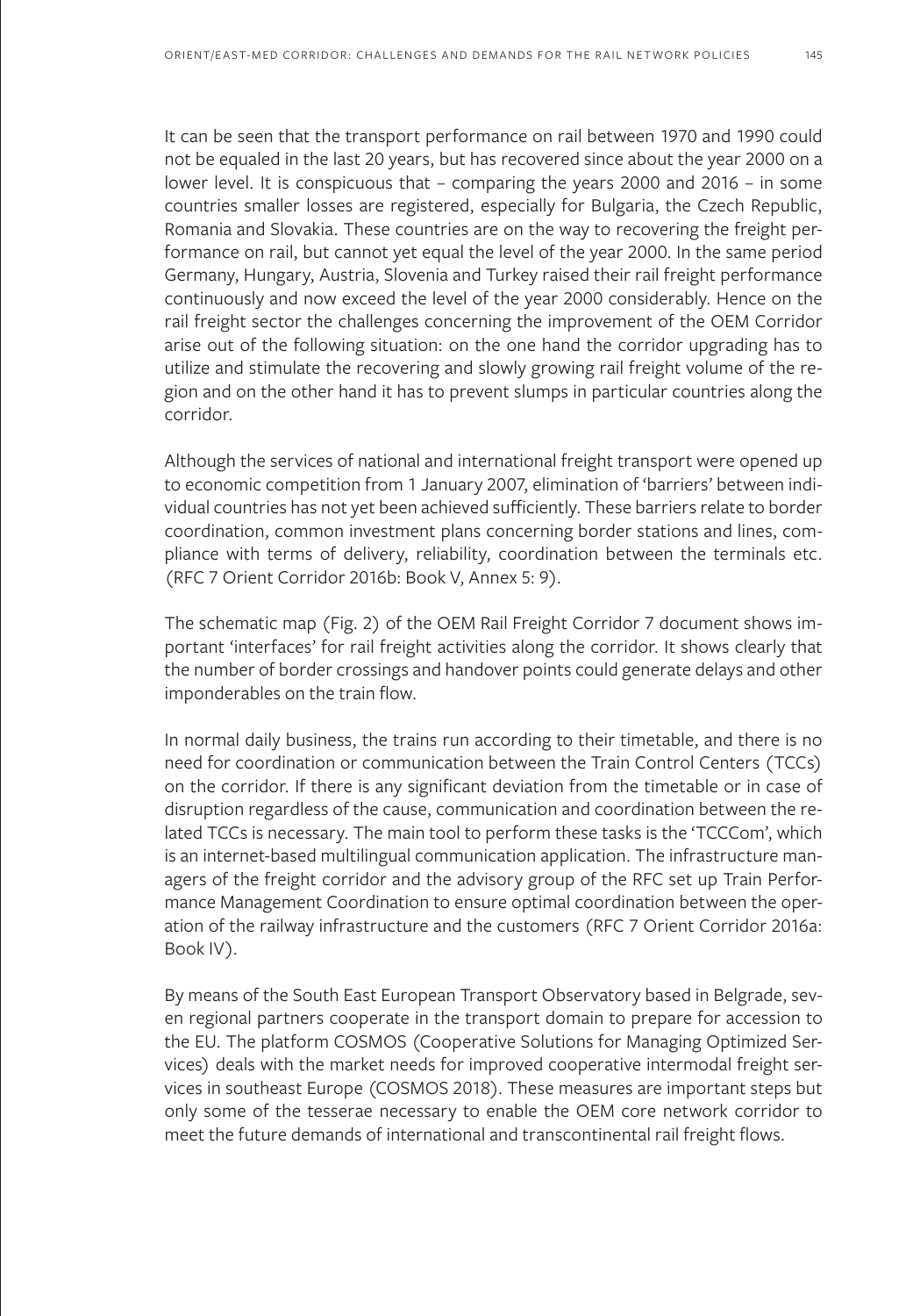It can be seen that the transport performance on rail between 1970 and 1990 could not be equaled in the last 20 years, but has recovered since about the year 2000 on a lower level. It is conspicuous that – comparing the years 2000 and 2016 – in some countries smaller losses are registered, especially for Bulgaria, the Czech Republic, Romania and Slovakia. These countries are on the way to recovering the freight performance on rail, but cannot yet equal the level of the year 2000. In the same period Germany, Hungary, Austria, Slovenia and Turkey raised their rail freight performance continuously and now exceed the level of the year 2000 considerably. Hence on the rail freight sector the challenges concerning the improvement of the OEM Corridor arise out of the following situation: on the one hand the corridor upgrading has to utilize and stimulate the recovering and slowly growing rail freight volume of the region and on the other hand it has to prevent slumps in particular countries along the corridor.

Although the services of national and international freight transport were opened up to economic competition from 1 January 2007, elimination of 'barriers' between individual countries has not yet been achieved sufficiently. These barriers relate to border coordination, common investment plans concerning border stations and lines, compliance with terms of delivery, reliability, coordination between the terminals etc. (RFC 7 Orient Corridor 2016b: Book V, Annex 5: 9).

The schematic map (Fig. 2) of the OEM Rail Freight Corridor 7 document shows important 'interfaces' for rail freight activities along the corridor. It shows clearly that the number of border crossings and handover points could generate delays and other imponderables on the train flow.

In normal daily business, the trains run according to their timetable, and there is no need for coordination or communication between the Train Control Centers (TCCs) on the corridor. If there is any significant deviation from the timetable or in case of disruption regardless of the cause, communication and coordination between the related TCCs is necessary. The main tool to perform these tasks is the 'TCCCom', which is an internet-based multilingual communication application. The infrastructure managers of the freight corridor and the advisory group of the RFC set up Train Performance Management Coordination to ensure optimal coordination between the operation of the railway infrastructure and the customers (RFC 7 Orient Corridor 2016a: Book IV).

By means of the South East European Transport Observatory based in Belgrade, seven regional partners cooperate in the transport domain to prepare for accession to the EU. The platform COSMOS (Cooperative Solutions for Managing Optimized Services) deals with the market needs for improved cooperative intermodal freight services in southeast Europe (COSMOS 2018). These measures are important steps but only some of the tesserae necessary to enable the OEM core network corridor to meet the future demands of international and transcontinental rail freight flows.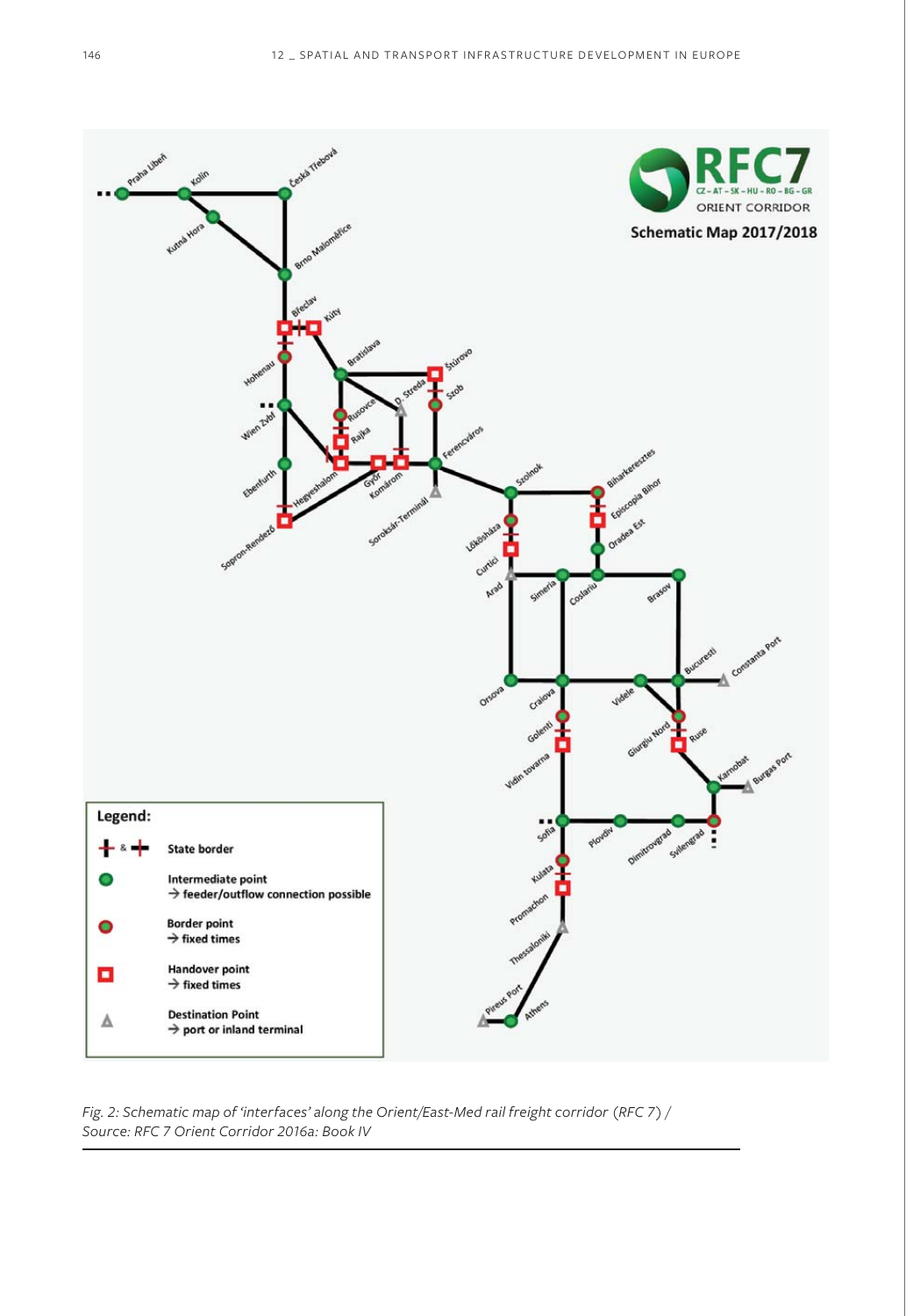

*Fig. 2: Schematic map of 'interfaces' along the Orient/East-Med rail freight corridor (RFC 7) / Source: RFC 7 Orient Corridor 2016a: Book IV*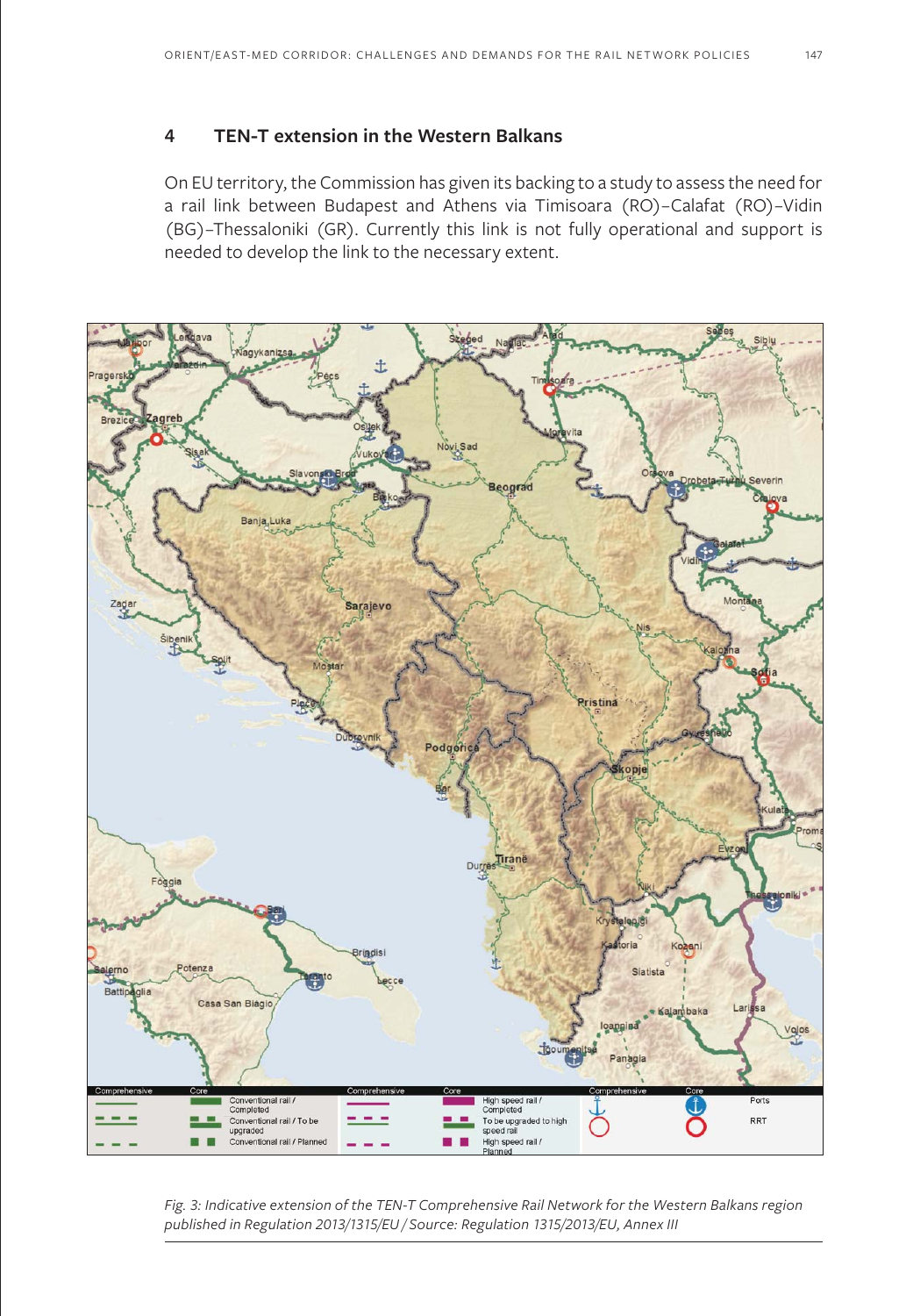## **4 TEN-T extension in the Western Balkans**

On EU territory, the Commission has given its backing to a study to assess the need for a rail link between Budapest and Athens via Timisoara (RO)–Calafat (RO)–Vidin (BG)–Thessaloniki (GR). Currently this link is not fully operational and support is needed to develop the link to the necessary extent.



*Fig. 3: Indicative extension of the TEN-T Comprehensive Rail Network for the Western Balkans region published in Regulation 2013/1315/EU / Source: Regulation 1315/2013/EU, Annex III*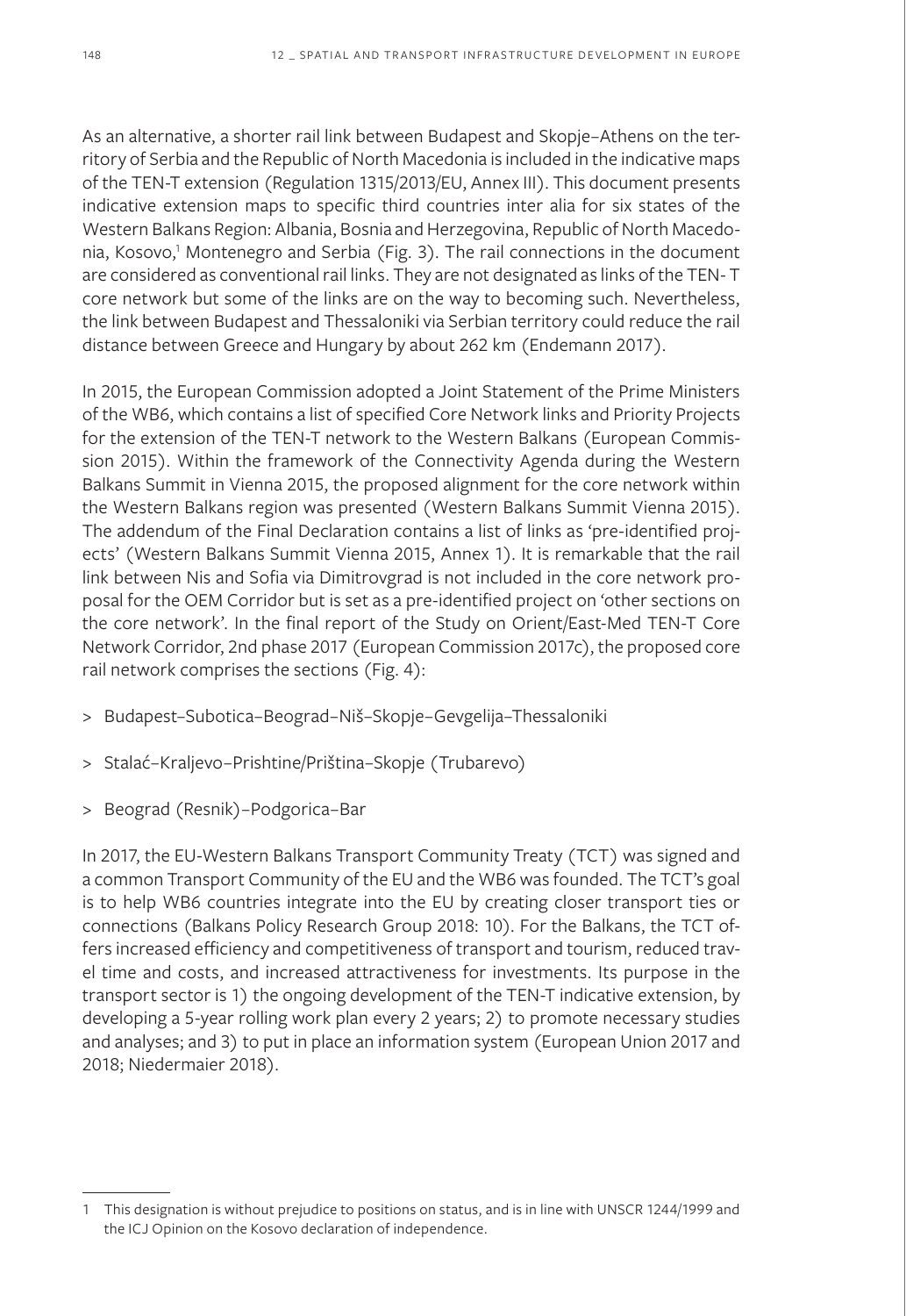As an alternative, a shorter rail link between Budapest and Skopje–Athens on the territory of Serbia and the Republic of North Macedonia is included in the indicative maps of the TEN-T extension (Regulation 1315/2013/EU, Annex III). This document presents indicative extension maps to specific third countries inter alia for six states of the Western Balkans Region: Albania, Bosnia and Herzegovina, Republic of North Macedonia, Kosovo,<sup>1</sup> Montenegro and Serbia (Fig. 3). The rail connections in the document are considered as conventional rail links. They are not designated as links of the TEN- T core network but some of the links are on the way to becoming such. Nevertheless, the link between Budapest and Thessaloniki via Serbian territory could reduce the rail distance between Greece and Hungary by about 262 km (Endemann 2017).

In 2015, the European Commission adopted a Joint Statement of the Prime Ministers of the WB6, which contains a list of specified Core Network links and Priority Projects for the extension of the TEN-T network to the Western Balkans (European Commission 2015). Within the framework of the Connectivity Agenda during the Western Balkans Summit in Vienna 2015, the proposed alignment for the core network within the Western Balkans region was presented (Western Balkans Summit Vienna 2015). The addendum of the Final Declaration contains a list of links as 'pre-identified projects' (Western Balkans Summit Vienna 2015, Annex 1). It is remarkable that the rail link between Nis and Sofia via Dimitrovgrad is not included in the core network proposal for the OEM Corridor but is set as a pre-identified project on 'other sections on the core network'. In the final report of the Study on Orient/East-Med TEN-T Core Network Corridor, 2nd phase 2017 (European Commission 2017c), the proposed core rail network comprises the sections (Fig. 4):

- > Budapest–Subotica–Beograd–Niš–Skopje–Gevgelija–Thessaloniki
- > Stalać–Kraljevo–Prishtine/Priština–Skopje (Trubarevo)
- > Beograd (Resnik)–Podgorica–Bar

In 2017, the EU-Western Balkans Transport Community Treaty (TCT) was signed and a common Transport Community of the EU and the WB6 was founded. The TCT's goal is to help WB6 countries integrate into the EU by creating closer transport ties or connections (Balkans Policy Research Group 2018: 10). For the Balkans, the TCT offers increased efficiency and competitiveness of transport and tourism, reduced travel time and costs, and increased attractiveness for investments. Its purpose in the transport sector is 1) the ongoing development of the TEN-T indicative extension, by developing a 5-year rolling work plan every 2 years; 2) to promote necessary studies and analyses; and 3) to put in place an information system (European Union 2017 and 2018; Niedermaier 2018).

<sup>1</sup> This designation is without prejudice to positions on status, and is in line with UNSCR 1244/1999 and the ICJ Opinion on the Kosovo declaration of independence.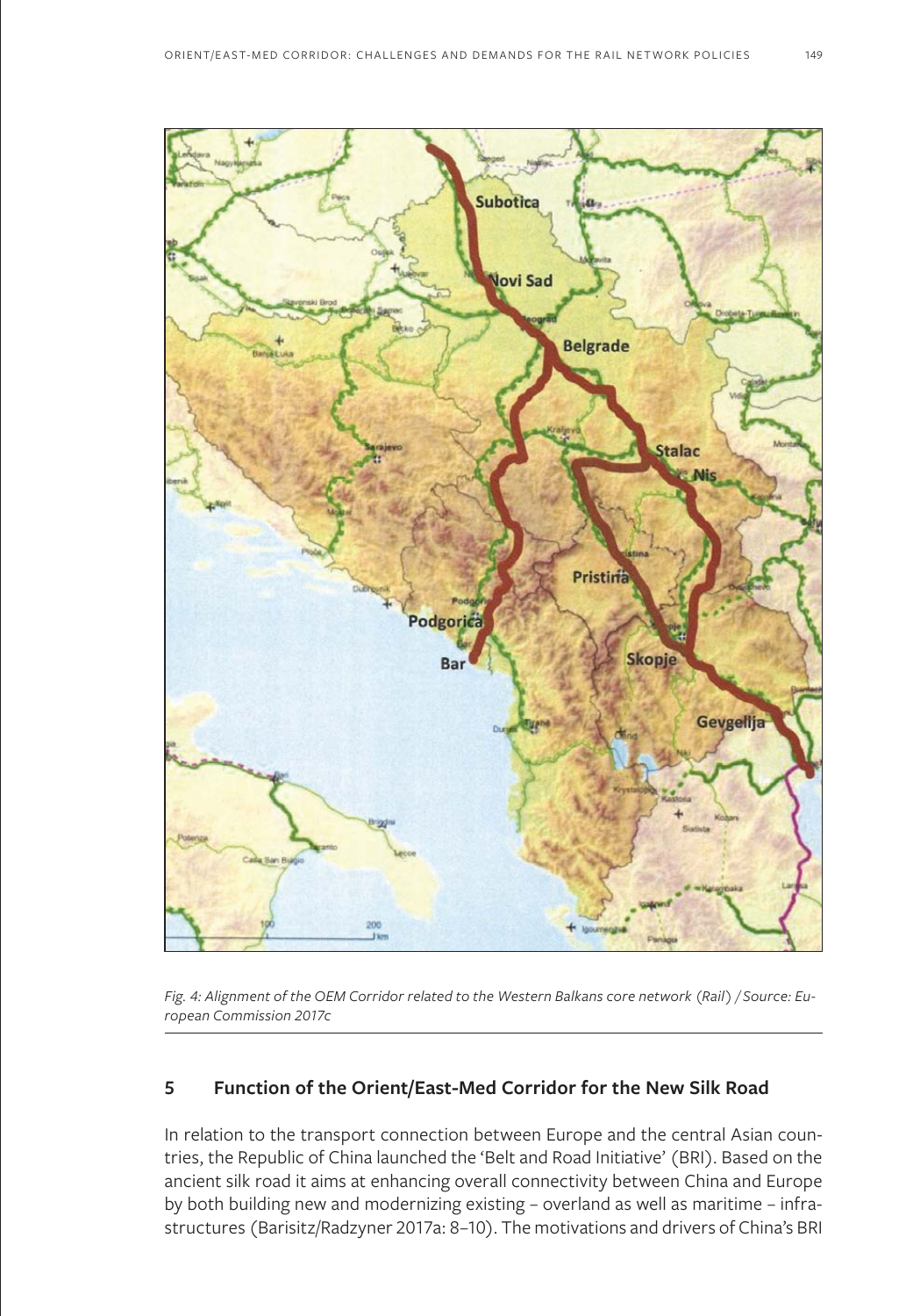

*Fig. 4: Alignment of the OEM Corridor related to the Western Balkans core network (Rail) / Source: European Commission 2017c*

## **5 Function of the Orient/East-Med Corridor for the New Silk Road**

In relation to the transport connection between Europe and the central Asian countries, the Republic of China launched the 'Belt and Road Initiative' (BRI). Based on the ancient silk road it aims at enhancing overall connectivity between China and Europe by both building new and modernizing existing – overland as well as maritime – infrastructures (Barisitz/Radzyner 2017a: 8–10). The motivations and drivers of China's BRI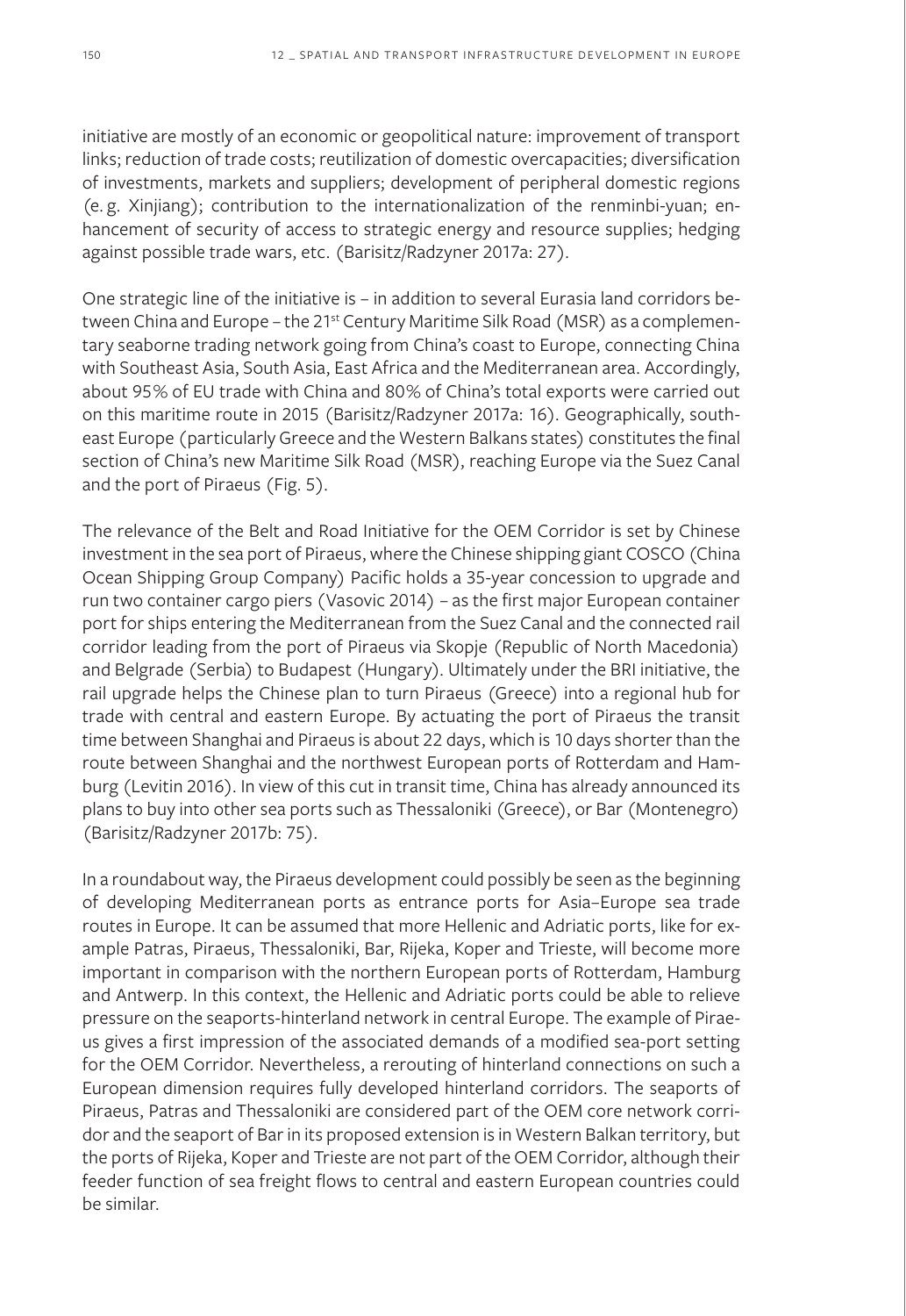initiative are mostly of an economic or geopolitical nature: improvement of transport links; reduction of trade costs; reutilization of domestic overcapacities; diversification of investments, markets and suppliers; development of peripheral domestic regions (e. g. Xinjiang); contribution to the internationalization of the renminbi-yuan; enhancement of security of access to strategic energy and resource supplies; hedging against possible trade wars, etc. (Barisitz/Radzyner 2017a: 27).

One strategic line of the initiative is – in addition to several Eurasia land corridors between China and Europe - the 21<sup>st</sup> Century Maritime Silk Road (MSR) as a complementary seaborne trading network going from China's coast to Europe, connecting China with Southeast Asia, South Asia, East Africa and the Mediterranean area. Accordingly, about 95% of EU trade with China and 80% of China's total exports were carried out on this maritime route in 2015 (Barisitz/Radzyner 2017a: 16). Geographically, southeast Europe (particularly Greece and the Western Balkans states) constitutes the final section of China's new Maritime Silk Road (MSR), reaching Europe via the Suez Canal and the port of Piraeus (Fig. 5).

The relevance of the Belt and Road Initiative for the OEM Corridor is set by Chinese investment in the sea port of Piraeus, where the Chinese shipping giant COSCO (China Ocean Shipping Group Company) Pacific holds a 35-year concession to upgrade and run two container cargo piers (Vasovic 2014) – as the first major European container port for ships entering the Mediterranean from the Suez Canal and the connected rail corridor leading from the port of Piraeus via Skopje (Republic of North Macedonia) and Belgrade (Serbia) to Budapest (Hungary). Ultimately under the BRI initiative, the rail upgrade helps the Chinese plan to turn Piraeus (Greece) into a regional hub for trade with central and eastern Europe. By actuating the port of Piraeus the transit time between Shanghai and Piraeus is about 22 days, which is 10 days shorter than the route between Shanghai and the northwest European ports of Rotterdam and Hamburg (Levitin 2016). In view of this cut in transit time, China has already announced its plans to buy into other sea ports such as Thessaloniki (Greece), or Bar (Montenegro) (Barisitz/Radzyner 2017b: 75).

In a roundabout way, the Piraeus development could possibly be seen as the beginning of developing Mediterranean ports as entrance ports for Asia–Europe sea trade routes in Europe. It can be assumed that more Hellenic and Adriatic ports, like for example Patras, Piraeus, Thessaloniki, Bar, Rijeka, Koper and Trieste, will become more important in comparison with the northern European ports of Rotterdam, Hamburg and Antwerp. In this context, the Hellenic and Adriatic ports could be able to relieve pressure on the seaports-hinterland network in central Europe. The example of Piraeus gives a first impression of the associated demands of a modified sea-port setting for the OEM Corridor. Nevertheless, a rerouting of hinterland connections on such a European dimension requires fully developed hinterland corridors. The seaports of Piraeus, Patras and Thessaloniki are considered part of the OEM core network corridor and the seaport of Bar in its proposed extension is in Western Balkan territory, but the ports of Rijeka, Koper and Trieste are not part of the OEM Corridor, although their feeder function of sea freight flows to central and eastern European countries could be similar.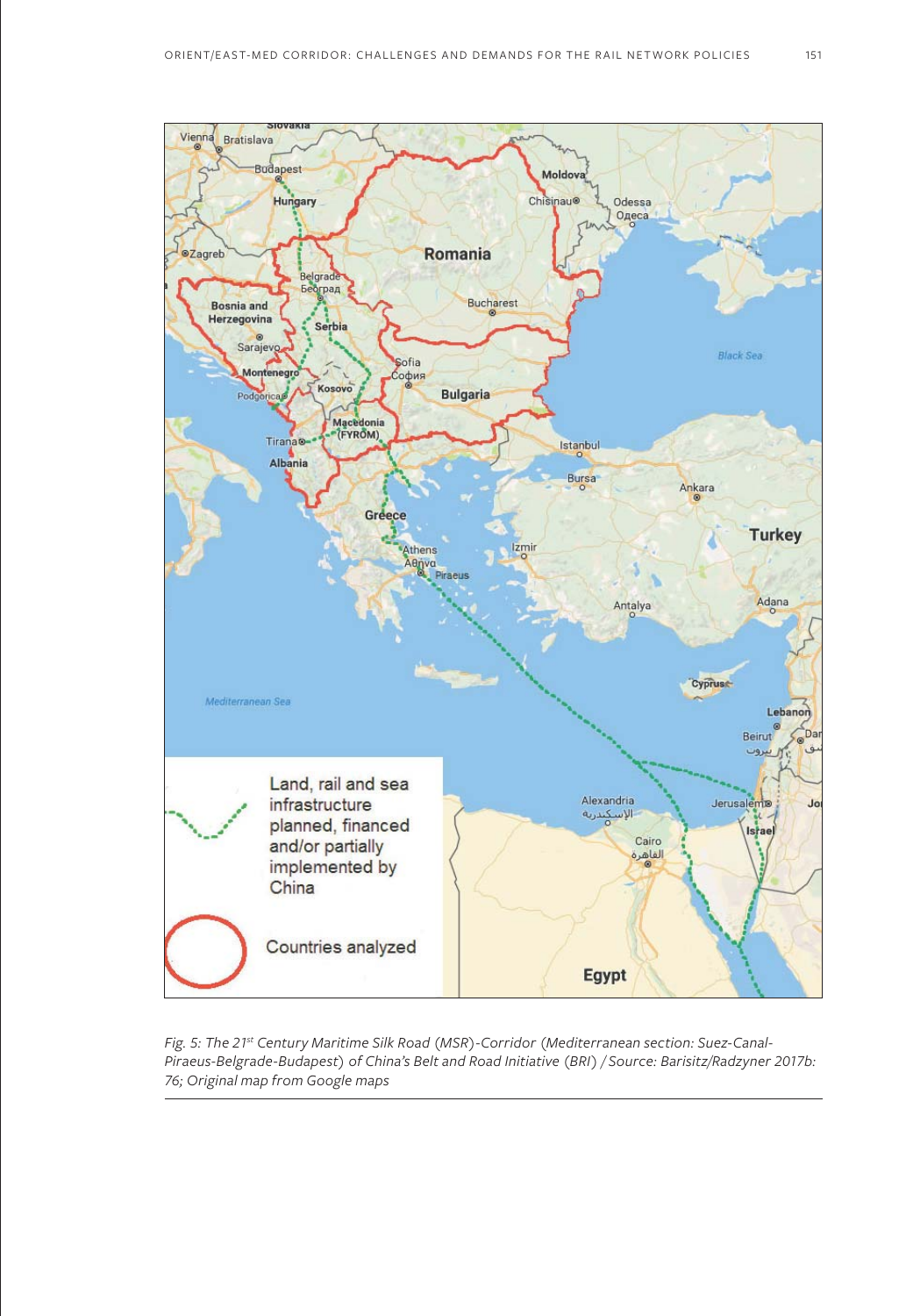

*Fig. 5: The 21st Century Maritime Silk Road (MSR)-Corridor (Mediterranean section: Suez-Canal-Piraeus-Belgrade-Budapest) of China's Belt and Road Initiative (BRI) / Source: Barisitz/Radzyner 2017b: 76; Original map from Google maps*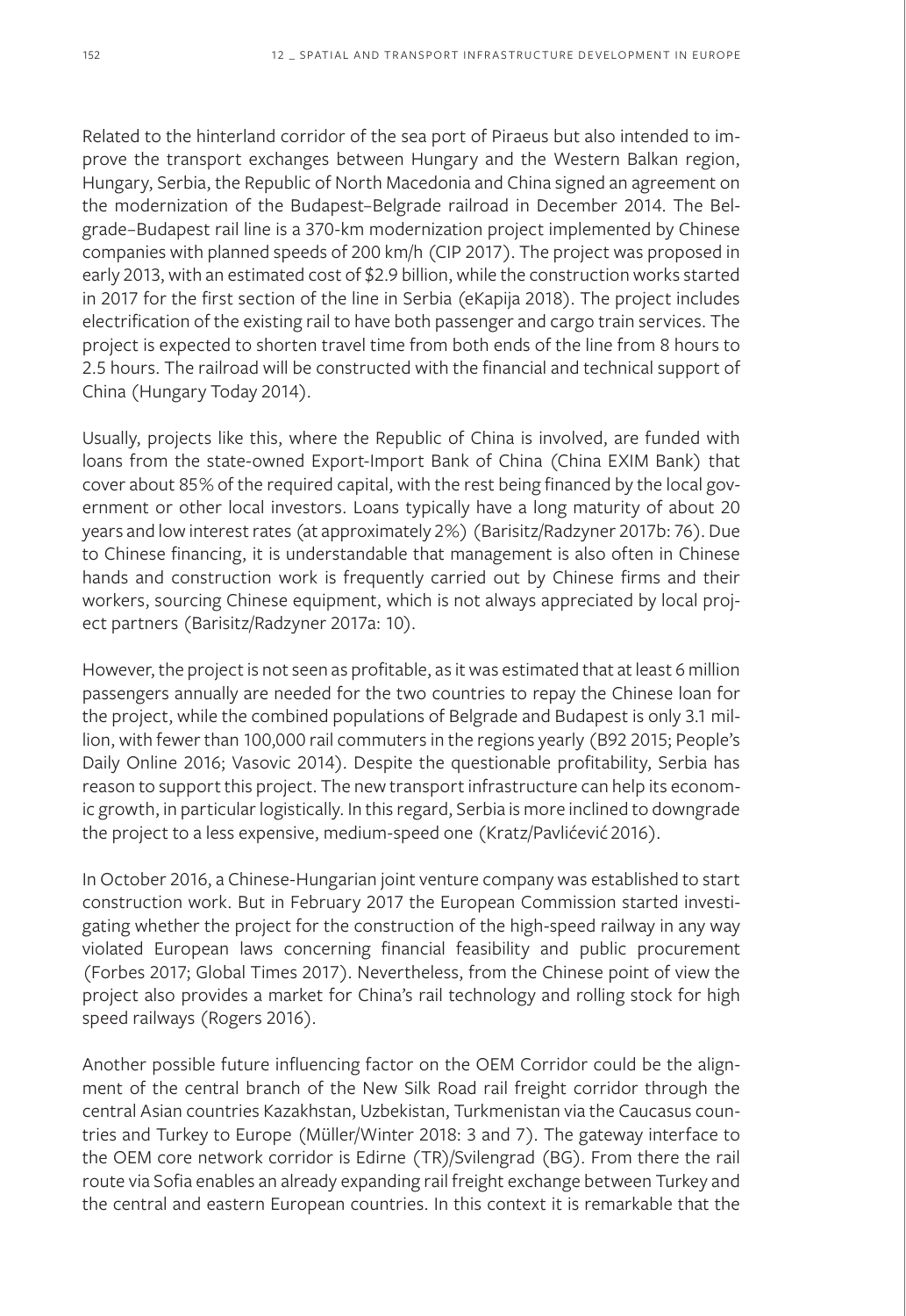Related to the hinterland corridor of the sea port of Piraeus but also intended to improve the transport exchanges between Hungary and the Western Balkan region, Hungary, Serbia, the Republic of North Macedonia and China signed an agreement on the modernization of the Budapest–Belgrade railroad in December 2014. The Belgrade–Budapest rail line is a 370-km modernization project implemented by Chinese companies with planned speeds of 200 km/h (CIP 2017). The project was proposed in early 2013, with an estimated cost of \$2.9 billion, while the construction works started in 2017 for the first section of the line in Serbia (eKapija 2018). The project includes electrification of the existing rail to have both passenger and cargo train services. The project is expected to shorten travel time from both ends of the line from 8 hours to 2.5 hours. The railroad will be constructed with the financial and technical support of China (Hungary Today 2014).

Usually, projects like this, where the Republic of China is involved, are funded with loans from the state-owned Export-Import Bank of China (China EXIM Bank) that cover about 85% of the required capital, with the rest being financed by the local government or other local investors. Loans typically have a long maturity of about 20 years and low interest rates (at approximately 2%) (Barisitz/Radzyner 2017b: 76). Due to Chinese financing, it is understandable that management is also often in Chinese hands and construction work is frequently carried out by Chinese firms and their workers, sourcing Chinese equipment, which is not always appreciated by local project partners (Barisitz/Radzyner 2017a: 10).

However, the project is not seen as profitable, as it was estimated that at least 6 million passengers annually are needed for the two countries to repay the Chinese loan for the project, while the combined populations of Belgrade and Budapest is only 3.1 million, with fewer than 100,000 rail commuters in the regions yearly (B92 2015; People's Daily Online 2016; Vasovic 2014). Despite the questionable profitability, Serbia has reason to support this project. The new transport infrastructure can help its economic growth, in particular logistically. In this regard, Serbia is more inclined to downgrade the project to a less expensive, medium-speed one (Kratz/Pavlićević 2016).

In October 2016, a Chinese-Hungarian joint venture company was established to start construction work. But in February 2017 the European Commission started investigating whether the project for the construction of the high-speed railway in any way violated European laws concerning financial feasibility and public procurement (Forbes 2017; Global Times 2017). Nevertheless, from the Chinese point of view the project also provides a market for China's rail technology and rolling stock for high speed railways (Rogers 2016).

Another possible future influencing factor on the OEM Corridor could be the alignment of the central branch of the New Silk Road rail freight corridor through the central Asian countries Kazakhstan, Uzbekistan, Turkmenistan via the Caucasus countries and Turkey to Europe (Müller/Winter 2018: 3 and 7). The gateway interface to the OEM core network corridor is Edirne (TR)/Svilengrad (BG). From there the rail route via Sofia enables an already expanding rail freight exchange between Turkey and the central and eastern European countries. In this context it is remarkable that the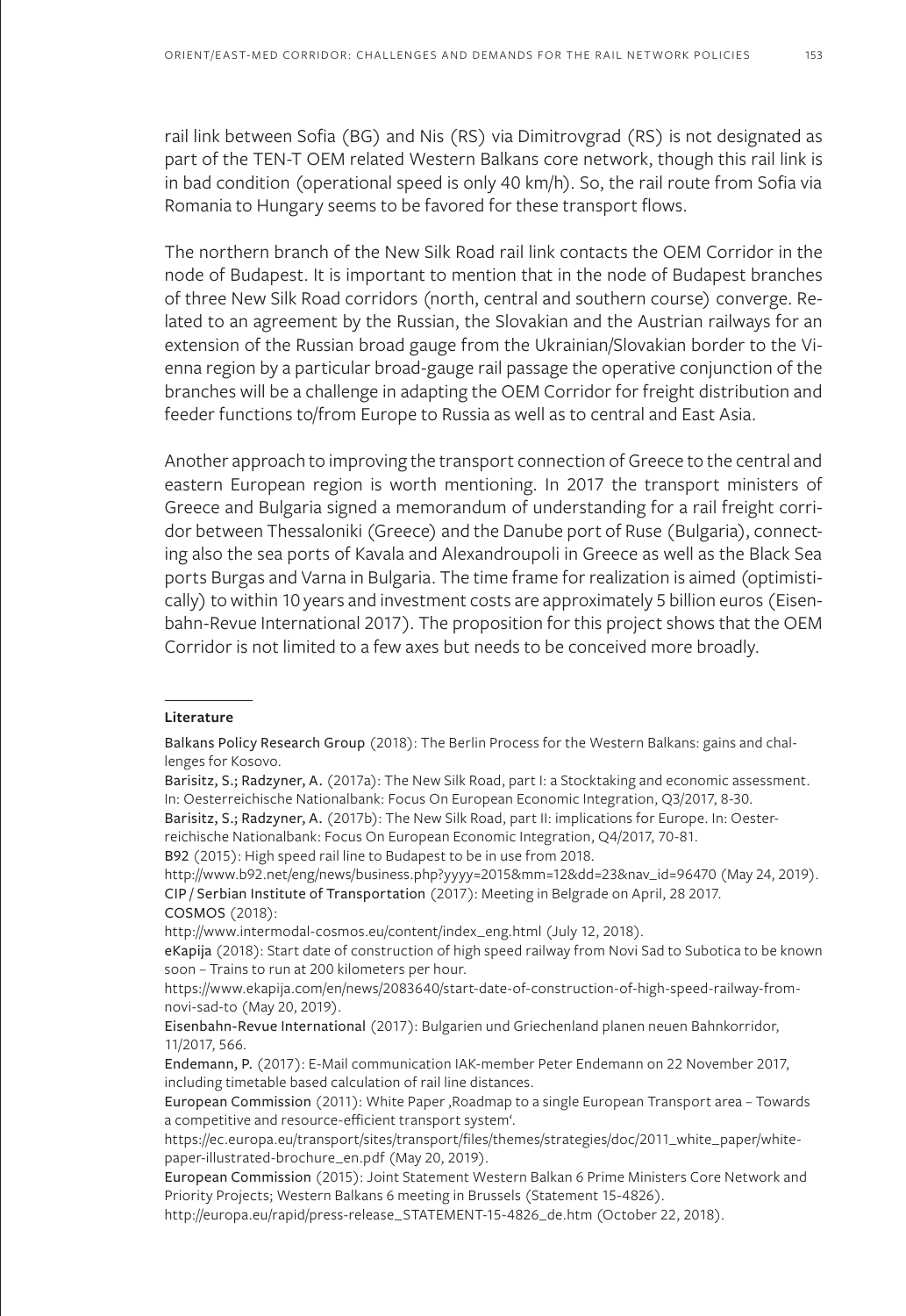rail link between Sofia (BG) and Nis (RS) via Dimitrovgrad (RS) is not designated as part of the TEN-T OEM related Western Balkans core network, though this rail link is in bad condition (operational speed is only 40 km/h). So, the rail route from Sofia via Romania to Hungary seems to be favored for these transport flows.

The northern branch of the New Silk Road rail link contacts the OEM Corridor in the node of Budapest. It is important to mention that in the node of Budapest branches of three New Silk Road corridors (north, central and southern course) converge. Related to an agreement by the Russian, the Slovakian and the Austrian railways for an extension of the Russian broad gauge from the Ukrainian/Slovakian border to the Vienna region by a particular broad-gauge rail passage the operative conjunction of the branches will be a challenge in adapting the OEM Corridor for freight distribution and feeder functions to/from Europe to Russia as well as to central and East Asia.

Another approach to improving the transport connection of Greece to the central and eastern European region is worth mentioning. In 2017 the transport ministers of Greece and Bulgaria signed a memorandum of understanding for a rail freight corridor between Thessaloniki (Greece) and the Danube port of Ruse (Bulgaria), connecting also the sea ports of Kavala and Alexandroupoli in Greece as well as the Black Sea ports Burgas and Varna in Bulgaria. The time frame for realization is aimed (optimistically) to within 10 years and investment costs are approximately 5 billion euros (Eisenbahn-Revue International 2017). The proposition for this project shows that the OEM Corridor is not limited to a few axes but needs to be conceived more broadly.

#### **Literature**

Balkans Policy Research Group (2018): The Berlin Process for the Western Balkans: gains and challenges for Kosovo.

Barisitz, S.; Radzyner, A. (2017a): The New Silk Road, part I: a Stocktaking and economic assessment. In: Oesterreichische Nationalbank: Focus On European Economic Integration, Q3/2017, 8-30.

Barisitz, S.; Radzyner, A. (2017b): The New Silk Road, part II: implications for Europe. In: Oester-

reichische Nationalbank: Focus On European Economic Integration, Q4/2017, 70-81.

B92 (2015): High speed rail line to Budapest to be in use from 2018.

http://www.b92.net/eng/news/business.php?yyyy=2015&mm=12&dd=23&nav\_id=96470 (May 24, 2019). CIP / Serbian Institute of Transportation (2017): Meeting in Belgrade on April, 28 2017. COSMOS (2018):

http://www.intermodal-cosmos.eu/content/index\_eng.html (July 12, 2018).

eKapija (2018): Start date of construction of high speed railway from Novi Sad to Subotica to be known soon – Trains to run at 200 kilometers per hour.

https://www.ekapija.com/en/news/2083640/start-date-of-construction-of-high-speed-railway-fromnovi-sad-to (May 20, 2019).

Eisenbahn-Revue International (2017): Bulgarien und Griechenland planen neuen Bahnkorridor, 11/2017, 566.

Endemann, P. (2017): E-Mail communication IAK-member Peter Endemann on 22 November 2017, including timetable based calculation of rail line distances.

European Commission (2011): White Paper, Roadmap to a single European Transport area - Towards a competitive and resource-efficient transport system'.

https://ec.europa.eu/transport/sites/transport/files/themes/strategies/doc/2011\_white\_paper/whitepaper-illustrated-brochure\_en.pdf (May 20, 2019).

European Commission (2015): Joint Statement Western Balkan 6 Prime Ministers Core Network and Priority Projects; Western Balkans 6 meeting in Brussels (Statement 15-4826).

http://europa.eu/rapid/press-release\_STATEMENT-15-4826\_de.htm (October 22, 2018).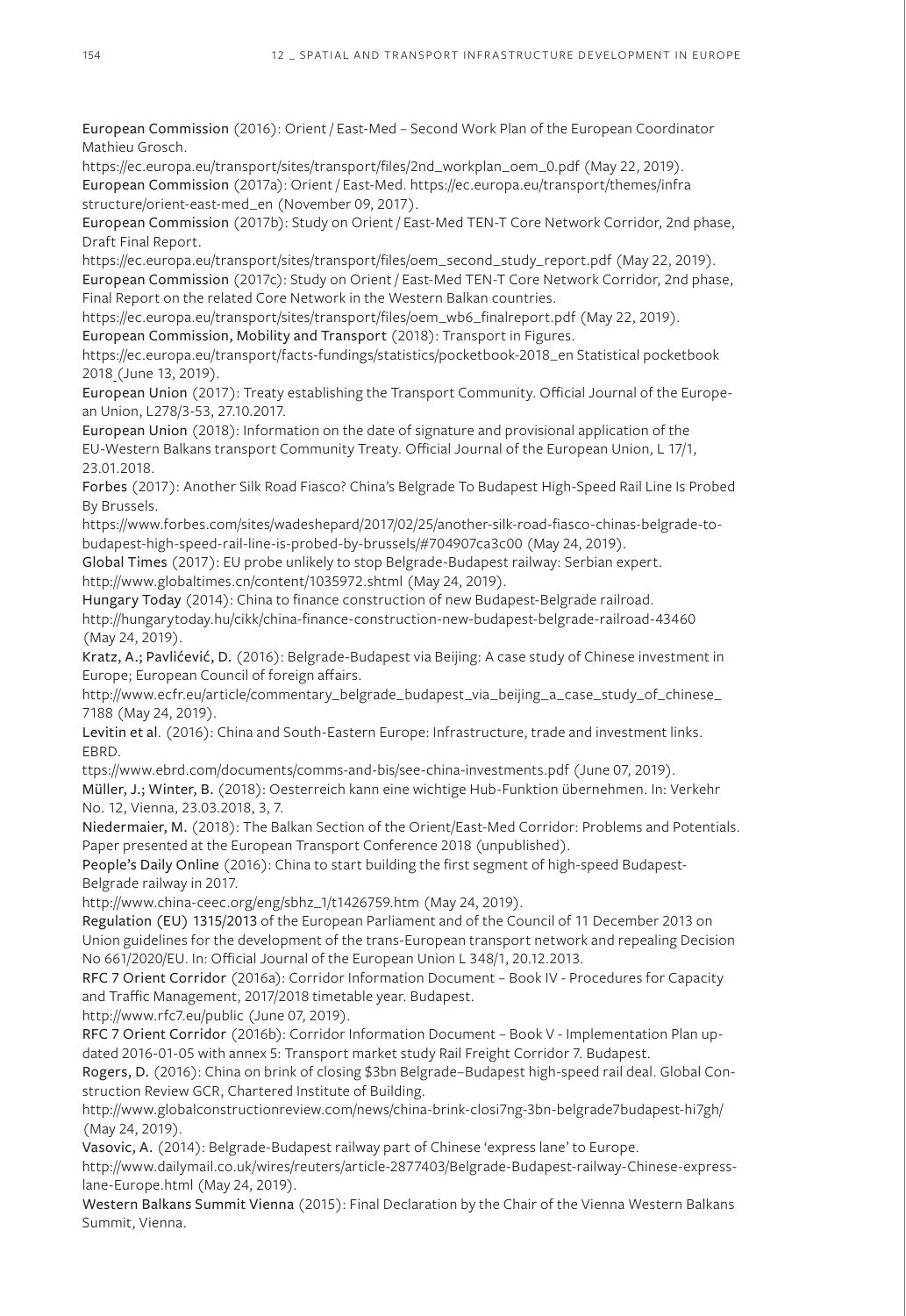European Commission (2016): Orient / East-Med – Second Work Plan of the European Coordinator Mathieu Grosch.

https://ec.europa.eu/transport/sites/transport/files/2nd\_workplan\_oem\_0.pdf (May 22, 2019). European Commission (2017a): Orient / East-Med. https://ec.europa.eu/transport/themes/infra structure/orient-east-med\_en (November 09, 2017).

European Commission (2017b): Study on Orient / East-Med TEN-T Core Network Corridor, 2nd phase, Draft Final Report.

https://ec.europa.eu/transport/sites/transport/files/oem\_second\_study\_report.pdf (May 22, 2019). European Commission (2017c): Study on Orient / East-Med TEN-T Core Network Corridor, 2nd phase, Final Report on the related Core Network in the Western Balkan countries.

https://ec.europa.eu/transport/sites/transport/files/oem\_wb6\_finalreport.pdf (May 22, 2019).

European Commission, Mobility and Transport (2018): Transport in Figures.

https://ec.europa.eu/transport/facts-fundings/statistics/pocketbook-2018\_en Statistical pocketbook 2018 (June 13, 2019).

European Union (2017): Treaty establishing the Transport Community. Official Journal of the European Union, L278/3-53, 27.10.2017.

European Union (2018): Information on the date of signature and provisional application of the EU-Western Balkans transport Community Treaty. Official Journal of the European Union, L 17/1, 23.01.2018.

Forbes (2017): Another Silk Road Fiasco? China's Belgrade To Budapest High-Speed Rail Line Is Probed By Brussels.

https://www.forbes.com/sites/wadeshepard/2017/02/25/another-silk-road-fiasco-chinas-belgrade-tobudapest-high-speed-rail-line-is-probed-by-brussels/#704907ca3c00 (May 24, 2019).

Global Times (2017): EU probe unlikely to stop Belgrade-Budapest railway: Serbian expert. http://www.globaltimes.cn/content/1035972.shtml (May 24, 2019).

Hungary Today (2014): China to finance construction of new Budapest-Belgrade railroad. http://hungarytoday.hu/cikk/china-finance-construction-new-budapest-belgrade-railroad-43460 (May 24, 2019).

Kratz, A.; Pavlićević, D. (2016): Belgrade-Budapest via Beijing: A case study of Chinese investment in Europe; European Council of foreign affairs.

http://www.ecfr.eu/article/commentary\_belgrade\_budapest\_via\_beijing\_a\_case\_study\_of\_chinese\_ 7188 (May 24, 2019).

Levitin et al. (2016): China and South-Eastern Europe: Infrastructure, trade and investment links. EBRD.

ttps://www.ebrd.com/documents/comms-and-bis/see-china-investments.pdf (June 07, 2019).

Müller, J.; Winter, B. (2018): Oesterreich kann eine wichtige Hub-Funktion übernehmen. In: Verkehr No. 12, Vienna, 23.03.2018, 3, 7.

Niedermaier, M. (2018): The Balkan Section of the Orient/East-Med Corridor: Problems and Potentials. Paper presented at the European Transport Conference 2018 (unpublished).

People's Daily Online (2016): China to start building the first segment of high-speed Budapest-Belgrade railway in 2017.

http://www.china-ceec.org/eng/sbhz\_1/t1426759.htm (May 24, 2019).

Regulation (EU) 1315/2013 of the European Parliament and of the Council of 11 December 2013 on Union guidelines for the development of the trans-European transport network and repealing Decision No 661/2020/EU. In: Official Journal of the European Union L 348/1, 20.12.2013.

RFC 7 Orient Corridor (2016a): Corridor Information Document – Book IV - Procedures for Capacity and Traffic Management, 2017/2018 timetable year. Budapest.

http://www.rfc7.eu/public (June 07, 2019).

RFC 7 Orient Corridor (2016b): Corridor Information Document – Book V - Implementation Plan updated 2016-01-05 with annex 5: Transport market study Rail Freight Corridor 7. Budapest.

Rogers, D. (2016): China on brink of closing \$3bn Belgrade–Budapest high-speed rail deal. Global Construction Review GCR, Chartered Institute of Building.

http://www.globalconstructionreview.com/news/china-brink-closi7ng-3bn-belgrade7budapest-hi7gh/ (May 24, 2019).

Vasovic, A. (2014): Belgrade-Budapest railway part of Chinese 'express lane' to Europe.

http://www.dailymail.co.uk/wires/reuters/article-2877403/Belgrade-Budapest-railway-Chinese-expresslane-Europe.html (May 24, 2019).

Western Balkans Summit Vienna (2015): Final Declaration by the Chair of the Vienna Western Balkans Summit, Vienna.